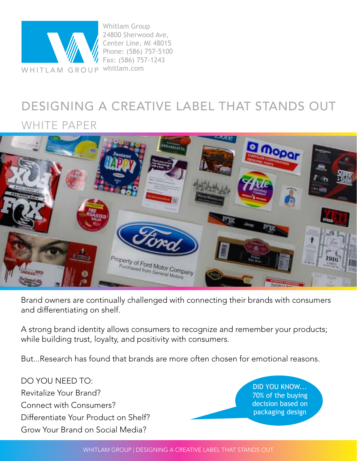

## DESIGNING A CREATIVE LABEL THAT STANDS OUT

## WHITE PAPER



Brand owners are continually challenged with connecting their brands with consumers and differentiating on shelf.

A strong brand identity allows consumers to recognize and remember your products; while building trust, loyalty, and positivity with consumers.

But...Research has found that brands are more often chosen for emotional reasons.

DO YOU NEED TO: Revitalize Your Brand? Connect with Consumers? Differentiate Your Product on Shelf? Grow Your Brand on Social Media?

DID YOU KNOW... 70% of the buying decision based on packaging design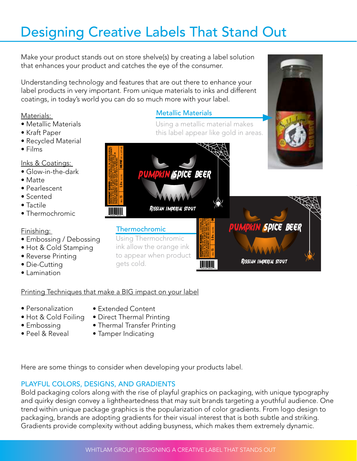## Designing Creative Labels That Stand Out

Make your product stands out on store shelve(s) by creating a label solution that enhances your product and catches the eye of the consumer.

Understanding technology and features that are out there to enhance your label products in very important. From unique materials to inks and different coatings, in today's world you can do so much more with your label.

## Materials:

- Metallic Materials
- Kraft Paper
- Recycled Material
- Films

## Inks & Coatings:

- Glow-in-the-dark
- Matte
- Pearlescent
- Scented
- Tactile
- Thermochromic

### Finishing:

- Embossing / Debossing
- Hot & Cold Stamping
- Reverse Printing
- Die-Cutting
- Lamination

## Metallic Materials

Using a metallic material makes this label appear like gold in areas.



## Printing Techniques that make a BIG impact on your label

- Personalization
- Extended Content
- Hot & Cold Foiling
- Embossing
- Peel & Reveal
- 
- Direct Thermal Printing
- Thermal Transfer Printing
- Tamper Indicating

Here are some things to consider when developing your products label.

## PLAYFUL COLORS, DESIGNS, AND GRADIENTS

Bold packaging colors along with the rise of playful graphics on packaging, with unique typography and quirky design convey a lightheartedness that may suit brands targeting a youthful audience. One trend within unique package graphics is the popularization of color gradients. From logo design to packaging, brands are adopting gradients for their visual interest that is both subtle and striking. Gradients provide complexity without adding busyness, which makes them extremely dynamic.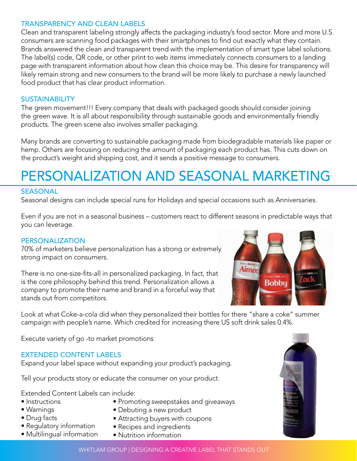### TRANSPARENCY AND CLEAN LABELS

Clean and transparent labeling strongly affects the packaging industry's food sector. More and more U.S. consumers are scanning food packages with their smartphones to find out exactly what they contain. Brands answered the clean and transparent trend with the implementation of smart type label solutions. The label(s) code, QR code, or other print to web items immediately connects consumers to a landing page with transparent information about how clean this choice may be. This desire for transparency will likely remain strong and new consumers to the brand will be more likely to purchase a newly launched food product that has clear product information.

### **SUSTAINABILITY**

The green movement!!! Every company that deals with packaged goods should consider joining the green wave. It is all about responsibility through sustainable goods and environmentally friendly products. The green scene also involves smaller packaging.

Many brands are converting to sustainable packaging made from biodegradable materials like paper or hemp. Others are focusing on reducing the amount of packaging each product has. This cuts down on the product's weight and shipping cost, and it sends a positive message to consumers.

## PERSONALIZATION AND SEASONAL MARKETING

## **SEASONAL**

Seasonal designs can include special runs for Holidays and special occasions such as Anniversaries.

Even if you are not in a seasonal business – customers react to different seasons in predictable ways that you can leverage.

### PERSONALIZATION

70% of marketers believe personalization has a strong or extremely strong impact on consumers.

There is no one-size-fits-all in personalized packaging. In fact, that is the core philosophy behind this trend. Personalization allows a company to promote their name and brand in a forceful way that stands out from competitors.

Look at what Coke-a-cola did when they personalized their bottles for there "share a coke" summer campaign with people's name. Which credited for increasing there US soft drink sales 0.4%.

Execute variety of go -to market promotions

## EXTENDED CONTENT LABELS

Expand your label space without expanding your product's packaging.

Tell your products story or educate the consumer on your product.

Extended Content Labels can include:

- Instructions
- Warnings
- Drug facts
- Regulatory information
- Multilingual information
- Recipes and ingredients

• Debuting a new product

• Attracting buyers with coupons

• Nutrition information





WHITLAM GROUP | DESIGNING A CREATIVE LABEL THAT STANDS OUT

• Promoting sweepstakes and giveaways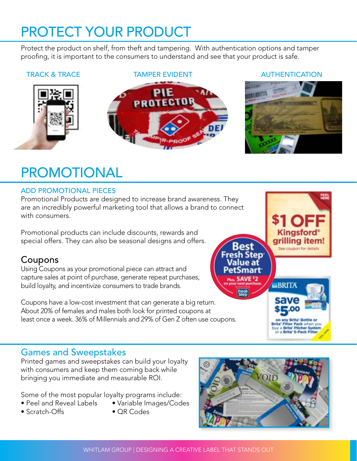## PROTECT YOUR PRODUCT

Protect the product on shelf, from theft and tampering. With authentication options and tamper proofing, it is important to the consumers to understand and see that your product is safe.



### TRACK & TRACE **TAMPER EVIDENT** AUTHENTICATION





Kingsford grilling item!

See coupon for details

on any Brita' Bottle o Brita' Filter Pack when you<br>buy a Brita' Pitcher System<br>or a Brita' 5-Pack Filter

**BRITA** 

## PROMOTIONAL

## ADD PROMOTIONAL PIECES

Promotional Products are designed to increase brand awareness. They are an incredibly powerful marketing tool that allows a brand to connect with consumers.

Promotional products can include discounts, rewards and special offers. They can also be seasonal designs and offers.

## Coupons

Using Coupons as your promotional piece can attract and capture sales at point of purchase, generate repeat purchases, build loyalty, and incentivize consumers to trade brands.

Coupons have a low-cost investment that can generate a big return. About 20% of females and males both look for printed coupons at least once a week. 36% of Millennials and 29% of Gen Z often use coupons.

## Games and Sweepstakes

Printed games and sweepstakes can build your loyalty with consumers and keep them coming back while bringing you immediate and measurable ROI.

Some of the most popular loyalty programs include:

- Peel and Reveal Labels Variable Images/Codes
- Scratch-Offs QR Codes



3est

Fresh Step<sup>.</sup> Value at PetSmart **Plus SAVE**<sup>\$</sup>2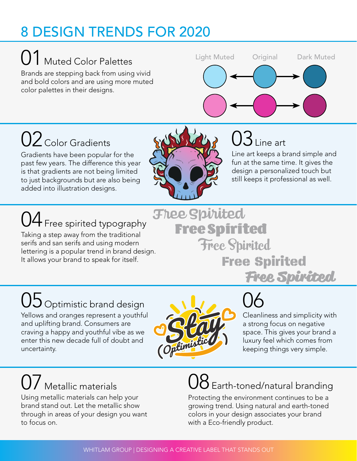## 8 DESIGN TRENDS FOR 2020

01 Muted Color Palettes

Brands are stepping back from using vivid and bold colors and are using more muted color palettes in their designs.



# $02$  Color Gradients

Gradients have been popular for the past few years. The difference this year is that gradients are not being limited to just backgrounds but are also being added into illustration designs.



# $03$  Line art

Line art keeps a brand simple and fun at the same time. It gives the design a personalized touch but still keeps it professional as well.

# $04$  Free spirited typography

Taking a step away from the traditional serifs and san serifs and using modern lettering is a popular trend in brand design. It allows your brand to speak for itself.

**Free Spirited** Free Spirited Free Spirited Free Spirited

# 05 Optimistic brand design and the contract of the CO

Yellows and oranges represent a youthful and uplifting brand. Consumers are craving a happy and youthful vibe as we enter this new decade full of doubt and uncertainty.



Cleanliness and simplicity with a strong focus on negative space. This gives your brand a luxury feel which comes from keeping things very simple.

Free Spirited

# $\int$  Metallic materials

Using metallic materials can help your brand stand out. Let the metallic show through in areas of your design you want to focus on.

# $\mathcal S$  Earth-toned/natural branding

Protecting the environment continues to be a growing trend. Using natural and earth-toned colors in your design associates your brand with a Eco-friendly product.